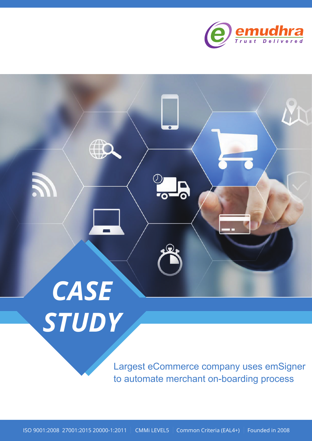

# *CASE STUDY*

Largest eCommerce company uses emSigner to automate merchant on-boarding process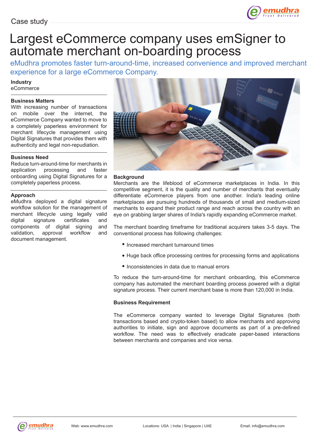

# Largest eCommerce company uses emSigner to automate merchant on-boarding process

eMudhra promotes faster turn-around-time, increased convenience and improved merchant experience for a large eCommerce Company.

**Industry** eCommerce

# **Business Matters**

With increasing number of transactions on mobile over the internet, the eCommerce Company wanted to move to a completely paperless environment for merchant lifecycle management using Digital Signatures that provides them with authenticity and legal non-repudiation.

# **Business Need**

Reduce turn-around-time for merchants in application processing and faster onboarding using Digital Signatures for a completely paperless process.

# **Approach**

eMudhra deployed a digital signature workflow solution for the management of merchant lifecycle using legally valid digital signature certificates and components of digital signing and validation, approval workflow and document management.



### **Background**

Merchants are the lifeblood of eCommerce marketplaces in India. In this competitive segment, it is the quality and number of merchants that eventually differentiate eCommerce players from one another. India's leading online marketplaces are pursuing hundreds of thousands of small and medium-sized merchants to expand their product range and reach across the country with an eye on grabbing larger shares of India's rapidly expanding eCommerce market.

The merchant boarding timeframe for traditional acquirers takes 3-5 days. The conventional process has following challenges:

- Increased merchant turnaround times
- Huge back office processing centres for processing forms and applications
- Inconsistencies in data due to manual errors

To reduce the turn-around-time for merchant onboarding, this eCommerce company has automated the merchant boarding process powered with a digital signature process. Their current merchant base is more than 120,000 in India.

### **Business Requirement**

The eCommerce company wanted to leverage Digital Signatures (both transactions based and crypto-token based) to allow merchants and approving authorities to initiate, sign and approve documents as part of a pre-defined workflow. The need was to effectively eradicate paper-based interactions between merchants and companies and vice versa.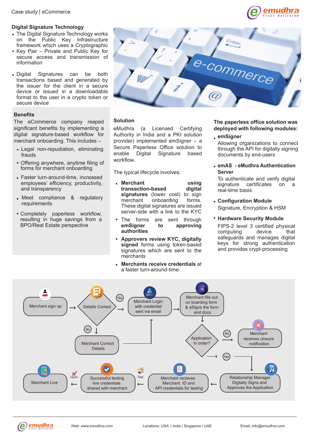# **Digital Signature Technology**

- The Digital Signature Technology works on the Public Key Infrastructure framework which uses a Cryptographic
- Key Pair Private and Public Key for secure access and transmission of information
- Digital Signatures can be both transactions based and generated by the issuer for the client in a secure device or issued in a downloadable format to the user in a crypto token or secure device

# **Benefits**

The eCommerce company reaped significant benefits by implementing a digital signature-based workflow for merchant onboarding. This includes –

- Legal non-repudiation, eliminating frauds
- Offering anywhere, anytime filing of forms for merchant onboarding
- Faster turn-around-time, increased employees' efficiency, productivity, and transparency
- Meet compliance & regulatory requirements
- Completely paperless workflow, resulting in huge savings from a BPO/Real Estate perspective



# **Solution**

eMudhra (a Licensed Certifying Authority in India and a PKI solution provider) implemented emSigner – a Secure Paperless Office solution to enable Digital Signature based workflow.

The typical lifecycle involves:

- **Merchant** using<br>transaction-based digital **transaction-based signatures** (lower cost) to sign<br>merchant onboarding forms. merchant onboarding These digital signatures are issued server-side with a link to the KYC
- The forms are sent through<br>
emSigner to approving **to** approving **authorities**
- **Approvers review KYC, digitally signed** forms using token-based signatures which are sent to the merchants
- **Merchants receive credentials** at a faster turn-around-time

# **The paperless office solution was deployed with following modules:**

emudhra

**emSigner**

Allowing organizations to connect through the API for digitally signing documents by end-users

**emAS - eMudhra Authentication Server**

To authenticate and verify digital signature certificates on a real-time basis

Signature, Encryption & HSM **Configuration Module**

# **Hardware Security Module**

FIPS-2 level 3 certified physical computing device that safeguards and manages digital keys for strong authentication and provides crypt-processing